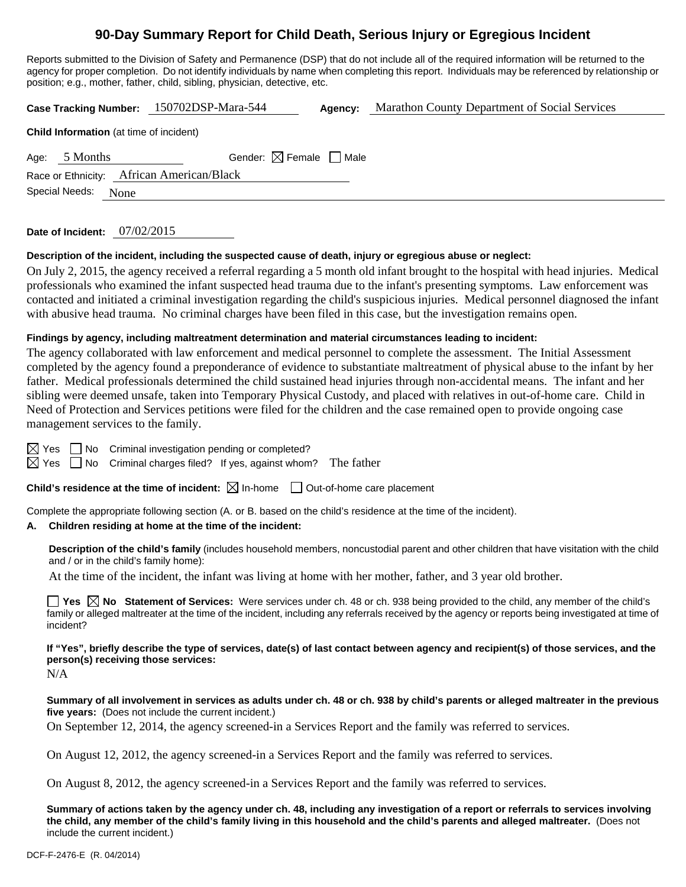# **90-Day Summary Report for Child Death, Serious Injury or Egregious Incident**

Reports submitted to the Division of Safety and Permanence (DSP) that do not include all of the required information will be returned to the agency for proper completion. Do not identify individuals by name when completing this report. Individuals may be referenced by relationship or position; e.g., mother, father, child, sibling, physician, detective, etc.

|                                                |               | Case Tracking Number: 150702DSP-Mara-544 | Agency: | Marathon County Department of Social Services |  |  |  |
|------------------------------------------------|---------------|------------------------------------------|---------|-----------------------------------------------|--|--|--|
| <b>Child Information</b> (at time of incident) |               |                                          |         |                                               |  |  |  |
|                                                | Age: 5 Months | Gender: $\boxtimes$ Female $\Box$ Male   |         |                                               |  |  |  |
| Race or Ethnicity: African American/Black      |               |                                          |         |                                               |  |  |  |
| Special Needs:<br>None                         |               |                                          |         |                                               |  |  |  |
|                                                |               |                                          |         |                                               |  |  |  |

**Date of Incident:** 07/02/2015

#### **Description of the incident, including the suspected cause of death, injury or egregious abuse or neglect:**

On July 2, 2015, the agency received a referral regarding a 5 month old infant brought to the hospital with head injuries. Medical professionals who examined the infant suspected head trauma due to the infant's presenting symptoms. Law enforcement was contacted and initiated a criminal investigation regarding the child's suspicious injuries. Medical personnel diagnosed the infant with abusive head trauma. No criminal charges have been filed in this case, but the investigation remains open.

#### **Findings by agency, including maltreatment determination and material circumstances leading to incident:**

The agency collaborated with law enforcement and medical personnel to complete the assessment. The Initial Assessment completed by the agency found a preponderance of evidence to substantiate maltreatment of physical abuse to the infant by her father. Medical professionals determined the child sustained head injuries through non-accidental means. The infant and her sibling were deemed unsafe, taken into Temporary Physical Custody, and placed with relatives in out-of-home care. Child in Need of Protection and Services petitions were filed for the children and the case remained open to provide ongoing case management services to the family.

No Criminal investigation pending or completed?

 $\Box$  No Criminal charges filed? If yes, against whom? The father

**Child's residence at the time of incident:**  $\boxtimes$  In-home  $\Box$  Out-of-home care placement

Complete the appropriate following section (A. or B. based on the child's residence at the time of the incident).

#### **A. Children residing at home at the time of the incident:**

**Description of the child's family** (includes household members, noncustodial parent and other children that have visitation with the child and / or in the child's family home):

At the time of the incident, the infant was living at home with her mother, father, and 3 year old brother.

**Yes No Statement of Services:** Were services under ch. 48 or ch. 938 being provided to the child, any member of the child's family or alleged maltreater at the time of the incident, including any referrals received by the agency or reports being investigated at time of incident?

### **If "Yes", briefly describe the type of services, date(s) of last contact between agency and recipient(s) of those services, and the person(s) receiving those services:**

 $N/A$ 

**Summary of all involvement in services as adults under ch. 48 or ch. 938 by child's parents or alleged maltreater in the previous five years:** (Does not include the current incident.)

On September 12, 2014, the agency screened-in a Services Report and the family was referred to services.

On August 12, 2012, the agency screened-in a Services Report and the family was referred to services.

On August 8, 2012, the agency screened-in a Services Report and the family was referred to services.

**Summary of actions taken by the agency under ch. 48, including any investigation of a report or referrals to services involving the child, any member of the child's family living in this household and the child's parents and alleged maltreater.** (Does not include the current incident.)